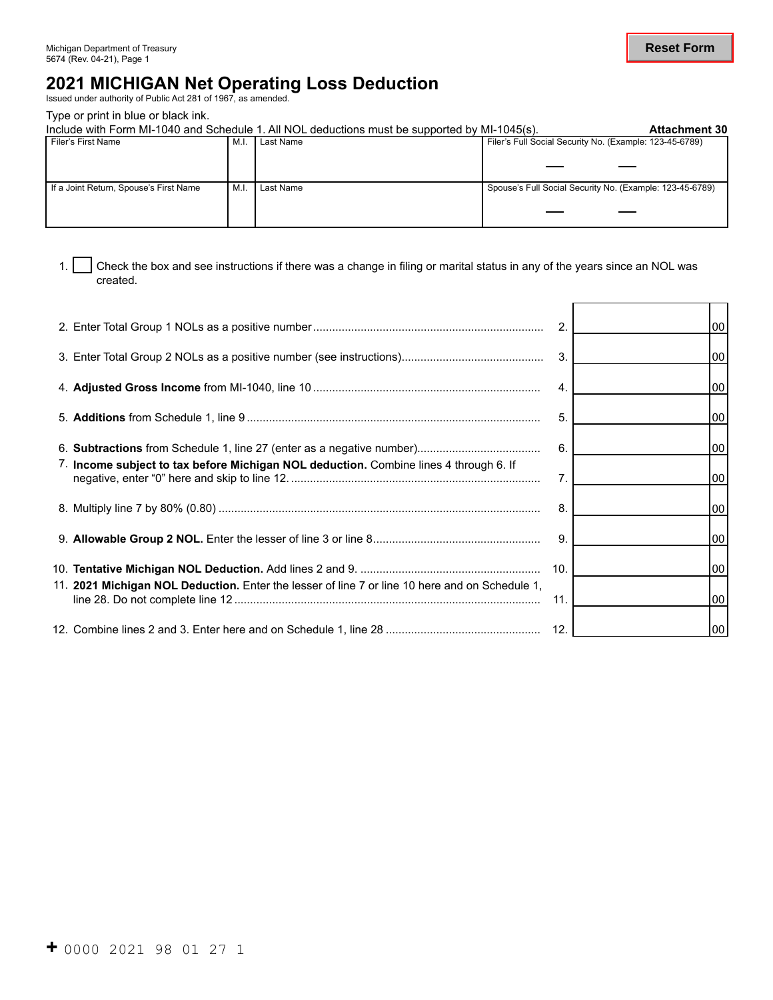# **2021 MICHIGAN Net Operating Loss Deduction** Issued under authority of Public Act 281 of 1967, as amended.

Type or print in blue or black ink.

|                                        |      | Include with Form MI-1040 and Schedule 1. All NOL deductions must be supported by MI-1045(s). | <b>Attachment 30</b>                                     |  |
|----------------------------------------|------|-----------------------------------------------------------------------------------------------|----------------------------------------------------------|--|
| Filer's First Name                     | M.I. | Last Name                                                                                     | Filer's Full Social Security No. (Example: 123-45-6789)  |  |
|                                        |      |                                                                                               |                                                          |  |
|                                        |      |                                                                                               |                                                          |  |
|                                        |      |                                                                                               |                                                          |  |
|                                        |      |                                                                                               |                                                          |  |
| If a Joint Return, Spouse's First Name | M.I. | Last Name                                                                                     | Spouse's Full Social Security No. (Example: 123-45-6789) |  |
|                                        |      |                                                                                               |                                                          |  |
|                                        |      |                                                                                               |                                                          |  |
|                                        |      |                                                                                               |                                                          |  |
|                                        |      |                                                                                               |                                                          |  |

1. Check the box and see instructions if there was a change in filing or marital status in any of the years since an NOL was created.

|                                                                                                | 2.             | 00 |
|------------------------------------------------------------------------------------------------|----------------|----|
|                                                                                                | 3.             | 00 |
|                                                                                                | $\mathbf{4}$ . | 00 |
|                                                                                                | 5.             | 00 |
|                                                                                                | 6.             | 00 |
| 7. Income subject to tax before Michigan NOL deduction. Combine lines 4 through 6. If          | 7.             | 00 |
|                                                                                                | 8.             | 00 |
|                                                                                                | 9.             | 00 |
|                                                                                                | 10.            | 00 |
| 11. 2021 Michigan NOL Deduction. Enter the lesser of line 7 or line 10 here and on Schedule 1, | 11.            | 00 |
|                                                                                                |                | 00 |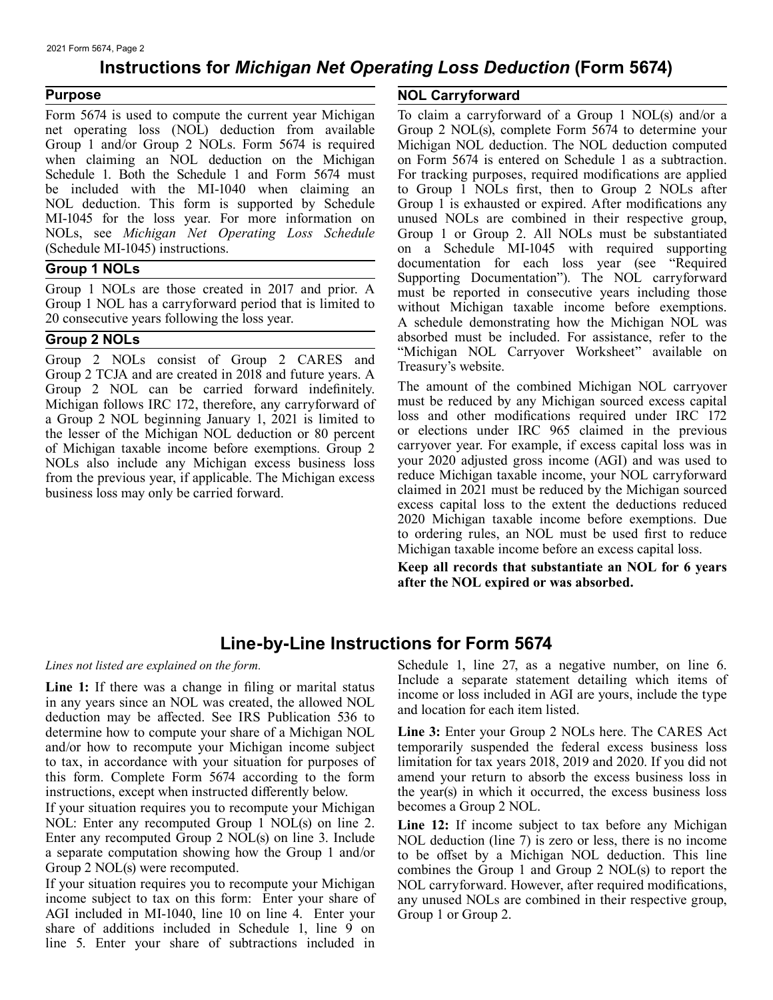### **Instructions for** *Michigan Net Operating Loss Deduction* **(Form 5674)**

#### **Purpose**

 when claiming an NOL deduction on the Michigan Schedule 1. Both the Schedule 1 and Form 5674 must Form 5674 is used to compute the current year Michigan net operating loss (NOL) deduction from available Group 1 and/or Group 2 NOLs. Form 5674 is required be included with the MI-1040 when claiming an NOL deduction. This form is supported by Schedule MI-1045 for the loss year. For more information on NOLs, see *Michigan Net Operating Loss Schedule*  (Schedule MI-1045) instructions.

#### **Group 1 NOLs**

Group 1 NOLs are those created in 2017 and prior. A Group 1 NOL has a carryforward period that is limited to 20 consecutive years following the loss year.

#### **Group 2 NOLs**

Group 2 NOLs consist of Group 2 CARES and Group 2 TCJA and are created in 2018 and future years. A Group 2 NOL can be carried forward indefinitely. Michigan follows IRC 172, therefore, any carryforward of a Group 2 NOL beginning January 1, 2021 is limited to the lesser of the Michigan NOL deduction or 80 percent of Michigan taxable income before exemptions. Group 2 NOLs also include any Michigan excess business loss from the previous year, if applicable. The Michigan excess business loss may only be carried forward.

#### **NOL Carryforward**

To claim a carryforward of a Group 1 NOL(s) and/or a Group 2 NOL(s), complete Form 5674 to determine your Michigan NOL deduction. The NOL deduction computed on Form 5674 is entered on Schedule 1 as a subtraction. For tracking purposes, required modifications are applied to Group 1 NOLs first, then to Group 2 NOLs after Group 1 is exhausted or expired. After modifications any unused NOLs are combined in their respective group, Group 1 or Group 2. All NOLs must be substantiated on a Schedule MI-1045 with required supporting documentation for each loss year (see "Required Supporting Documentation"). The NOL carryforward must be reported in consecutive years including those without Michigan taxable income before exemptions. A schedule demonstrating how the Michigan NOL was absorbed must be included. For assistance, refer to the "Michigan NOL Carryover Worksheet" available on Treasury's website.

The amount of the combined Michigan NOL carryover must be reduced by any Michigan sourced excess capital loss and other modifications required under IRC 172 or elections under IRC 965 claimed in the previous carryover year. For example, if excess capital loss was in your 2020 adjusted gross income (AGI) and was used to reduce Michigan taxable income, your NOL carryforward claimed in 2021 must be reduced by the Michigan sourced excess capital loss to the extent the deductions reduced 2020 Michigan taxable income before exemptions. Due to ordering rules, an NOL must be used first to reduce Michigan taxable income before an excess capital loss.

**Keep all records that substantiate an NOL for 6 years after the NOL expired or was absorbed.** 

## **Line-by-Line Instructions for Form 5674**

#### *Lines not listed are explained on the form.*

Line 1: If there was a change in filing or marital status in any years since an NOL was created, the allowed NOL deduction may be affected. See IRS Publication 536 to determine how to compute your share of a Michigan NOL and/or how to recompute your Michigan income subject to tax, in accordance with your situation for purposes of this form. Complete Form 5674 according to the form instructions, except when instructed differently below.

If your situation requires you to recompute your Michigan NOL: Enter any recomputed Group 1 NOL(s) on line 2. Enter any recomputed Group 2 NOL(s) on line 3. Include a separate computation showing how the Group 1 and/or Group 2 NOL(s) were recomputed.

If your situation requires you to recompute your Michigan income subject to tax on this form: Enter your share of AGI included in MI-1040, line 10 on line 4. Enter your share of additions included in Schedule 1, line 9 on line 5. Enter your share of subtractions included in

Schedule 1, line 27, as a negative number, on line 6. Include a separate statement detailing which items of income or loss included in AGI are yours, include the type and location for each item listed.

**Line 3:** Enter your Group 2 NOLs here. The CARES Act temporarily suspended the federal excess business loss limitation for tax years 2018, 2019 and 2020. If you did not amend your return to absorb the excess business loss in the year(s) in which it occurred, the excess business loss becomes a Group 2 NOL.

**Line 12:** If income subject to tax before any Michigan NOL deduction (line 7) is zero or less, there is no income to be offset by a Michigan NOL deduction. This line combines the Group 1 and Group 2 NOL(s) to report the NOL carryforward. However, after required modifications, any unused NOLs are combined in their respective group, Group 1 or Group 2.